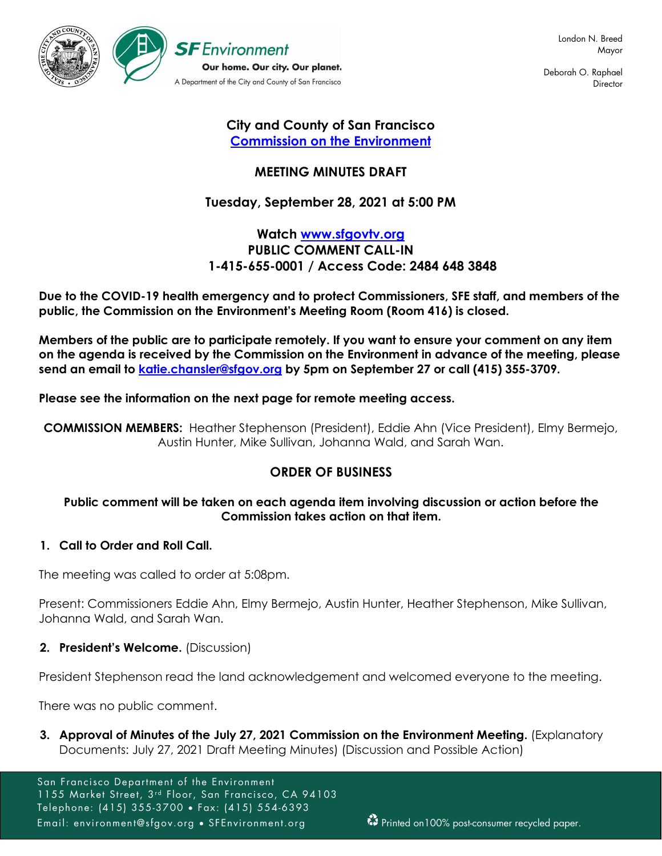

Deborah O. Raphael **Director** 

# **City and County of San Francisco [Commission on the Environment](https://sfenvironment.org/environment-commission)**

# **MEETING MINUTES DRAFT**

# **Tuesday, September 28, 2021 at 5:00 PM**

# **Watch [www.sfgovtv.org](https://sfgovtv.org/sfgovtv-live-events) PUBLIC COMMENT CALL-IN 1-415-655-0001 / Access Code: 2484 648 3848**

**Due to the COVID-19 health emergency and to protect Commissioners, SFE staff, and members of the public, the Commission on the Environment's Meeting Room (Room 416) is closed.**

**Members of the public are to participate remotely. If you want to ensure your comment on any item on the agenda is received by the Commission on the Environment in advance of the meeting, please send an email to [katie.chansler@sfgov.org](mailto:katie.chansler@sfgov.org) by 5pm on September 27 or call (415) 355-3709.** 

### **Please see the information on the next page for remote meeting access.**

**COMMISSION MEMBERS:** Heather Stephenson (President), Eddie Ahn (Vice President), Elmy Bermejo, Austin Hunter, Mike Sullivan, Johanna Wald, and Sarah Wan.

# **ORDER OF BUSINESS**

### **Public comment will be taken on each agenda item involving discussion or action before the Commission takes action on that item.**

### **1. Call to Order and Roll Call.**

The meeting was called to order at 5:08pm.

Present: Commissioners Eddie Ahn, Elmy Bermejo, Austin Hunter, Heather Stephenson, Mike Sullivan, Johanna Wald, and Sarah Wan.

### **2. President's Welcome.** (Discussion)

President Stephenson read the land acknowledgement and welcomed everyone to the meeting.

There was no public comment.

**3. Approval of Minutes of the July 27, 2021 Commission on the Environment Meeting.** (Explanatory Documents: July 27, 2021 Draft Meeting Minutes) (Discussion and Possible Action)

San Francisco Department of the Environment 1155 Market Street, 3<sup>rd</sup> Floor, San Francisco, CA 94103 Telephone: (415) 355-3700 • Fax: (415) 554-6393 Email: environment@sfgov.org • SFEnvironment.org **Printed on100%** post-consumer recycled paper.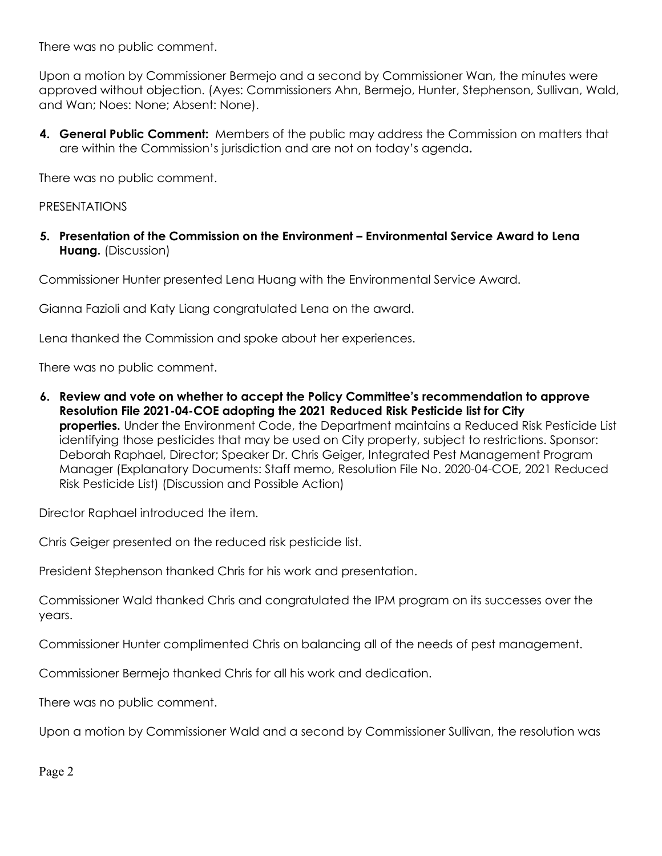There was no public comment.

Upon a motion by Commissioner Bermejo and a second by Commissioner Wan, the minutes were approved without objection. (Ayes: Commissioners Ahn, Bermejo, Hunter, Stephenson, Sullivan, Wald, and Wan; Noes: None; Absent: None).

**4. General Public Comment:** Members of the public may address the Commission on matters that are within the Commission's jurisdiction and are not on today's agenda**.**

There was no public comment.

PRESENTATIONS

**5. Presentation of the Commission on the Environment – Environmental Service Award to Lena Huang.** (Discussion)

Commissioner Hunter presented Lena Huang with the Environmental Service Award.

Gianna Fazioli and Katy Liang congratulated Lena on the award.

Lena thanked the Commission and spoke about her experiences.

There was no public comment.

**6. Review and vote on whether to accept the Policy Committee's recommendation to approve Resolution File 2021-04-COE adopting the 2021 Reduced Risk Pesticide list for City properties.** Under the Environment Code, the Department maintains a Reduced Risk Pesticide List identifying those pesticides that may be used on City property, subject to restrictions. Sponsor: Deborah Raphael, Director; Speaker Dr. Chris Geiger, Integrated Pest Management Program Manager (Explanatory Documents: Staff memo, Resolution File No. 2020-04-COE, 2021 Reduced Risk Pesticide List) (Discussion and Possible Action)

Director Raphael introduced the item.

Chris Geiger presented on the reduced risk pesticide list.

President Stephenson thanked Chris for his work and presentation.

Commissioner Wald thanked Chris and congratulated the IPM program on its successes over the years.

Commissioner Hunter complimented Chris on balancing all of the needs of pest management.

Commissioner Bermejo thanked Chris for all his work and dedication.

There was no public comment.

Upon a motion by Commissioner Wald and a second by Commissioner Sullivan, the resolution was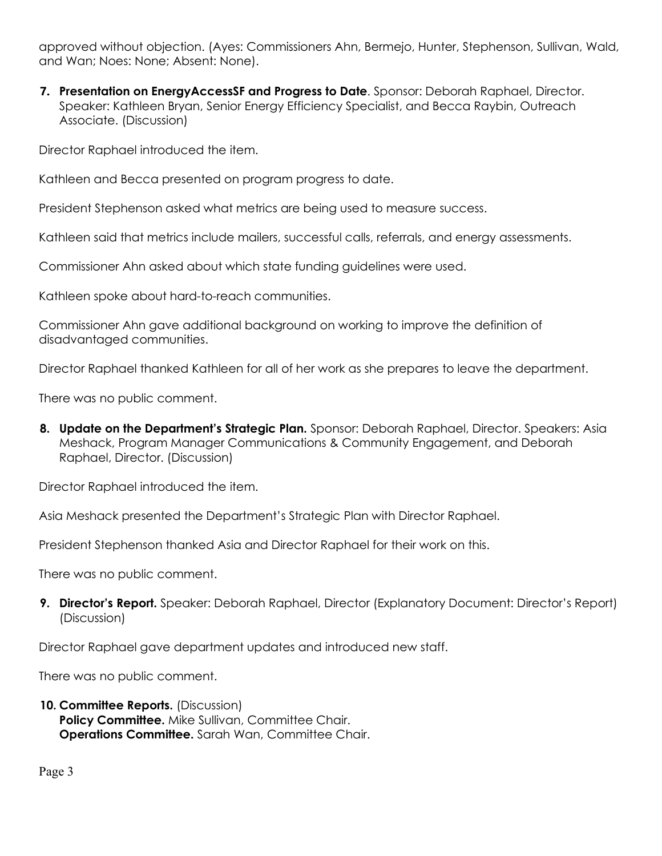approved without objection. (Ayes: Commissioners Ahn, Bermejo, Hunter, Stephenson, Sullivan, Wald, and Wan; Noes: None; Absent: None).

**7. Presentation on EnergyAccessSF and Progress to Date**. Sponsor: Deborah Raphael, Director. Speaker: Kathleen Bryan, Senior Energy Efficiency Specialist, and Becca Raybin, Outreach Associate. (Discussion)

Director Raphael introduced the item.

Kathleen and Becca presented on program progress to date.

President Stephenson asked what metrics are being used to measure success.

Kathleen said that metrics include mailers, successful calls, referrals, and energy assessments.

Commissioner Ahn asked about which state funding guidelines were used.

Kathleen spoke about hard-to-reach communities.

Commissioner Ahn gave additional background on working to improve the definition of disadvantaged communities.

Director Raphael thanked Kathleen for all of her work as she prepares to leave the department.

There was no public comment.

**8. Update on the Department's Strategic Plan.** Sponsor: Deborah Raphael, Director. Speakers: Asia Meshack, Program Manager Communications & Community Engagement, and Deborah Raphael, Director. (Discussion)

Director Raphael introduced the item.

Asia Meshack presented the Department's Strategic Plan with Director Raphael.

President Stephenson thanked Asia and Director Raphael for their work on this.

There was no public comment.

**9. Director's Report.** Speaker: Deborah Raphael, Director (Explanatory Document: Director's Report) (Discussion)

Director Raphael gave department updates and introduced new staff.

There was no public comment.

**10. Committee Reports.** (Discussion) **Policy Committee.** Mike Sullivan, Committee Chair. **Operations Committee.** Sarah Wan, Committee Chair.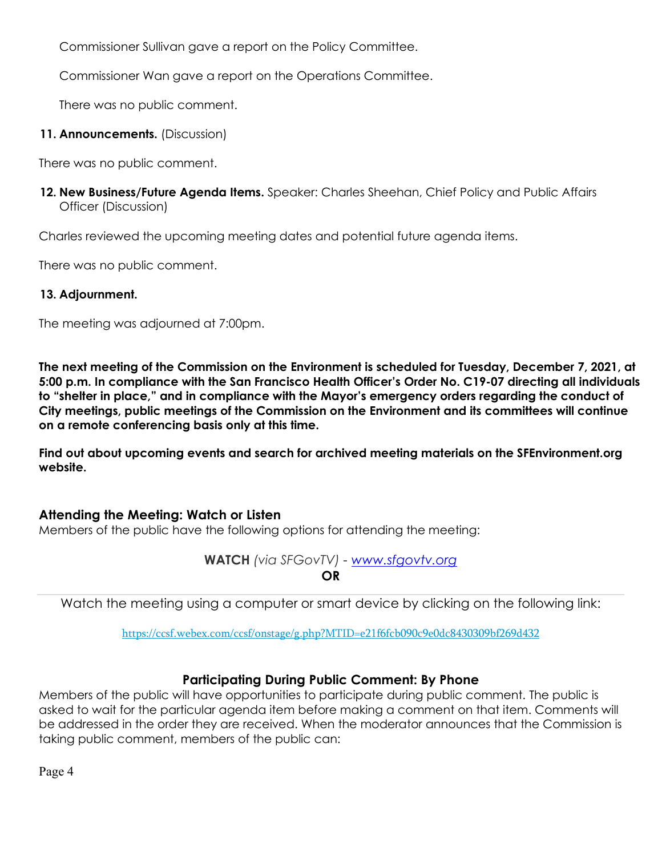Commissioner Sullivan gave a report on the Policy Committee.

Commissioner Wan gave a report on the Operations Committee.

There was no public comment.

### **11. Announcements.** (Discussion)

There was no public comment.

**12. New Business/Future Agenda Items.** Speaker: Charles Sheehan, Chief Policy and Public Affairs Officer (Discussion)

Charles reviewed the upcoming meeting dates and potential future agenda items.

There was no public comment.

### **13. Adjournment.**

The meeting was adjourned at 7:00pm.

**The next meeting of the Commission on the Environment is scheduled for Tuesday, December 7, 2021, at 5:00 p.m. In compliance with the San Francisco Health Officer's Order No. C19-07 directing all individuals to "shelter in place," and in compliance with the Mayor's emergency orders regarding the conduct of City meetings, public meetings of the Commission on the Environment and its committees will continue on a remote conferencing basis only at this time.**

**Find out about upcoming events and search for archived meeting materials on the SFEnvironment.org website.**

# **Attending the Meeting: Watch or Listen**

Members of the public have the following options for attending the meeting:

**WATCH** *(via SFGovTV) - [www.sfgovtv.org](https://sfgovtv.org/sfgovtv-live-events)* **OR**

Watch the meeting using a computer or s[mart device by clicking on the following link:](https://ccsf.webex.com/ccsf/onstage/g.php?MTID=e21f6fcb090c9e0dc8430309bf269d432)

<https://ccsf.webex.com/ccsf/onstage/g.php?MTID=e21f6fcb090c9e0dc8430309bf269d432>

# **Participating During Public Comment: By Phone**

Members of the public will have opportunities to participate during public comment. The public is asked to wait for the particular agenda item before making a comment on that item. Comments will be addressed in the order they are received. When the moderator announces that the Commission is taking public comment, members of the public can: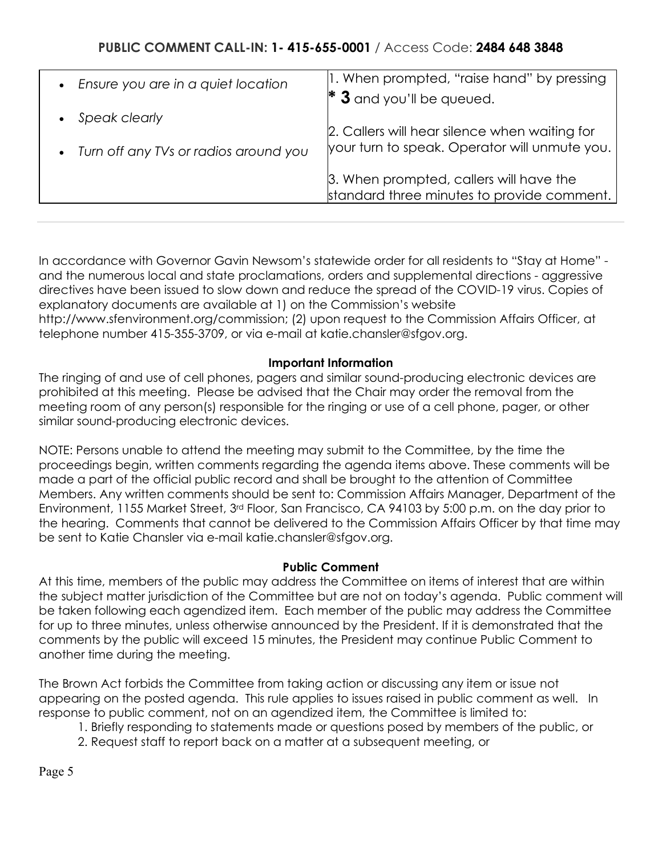| • Ensure you are in a quiet location    | 1. When prompted, "raise hand" by pressing    |
|-----------------------------------------|-----------------------------------------------|
|                                         | $*$ 3 and you'll be queued.                   |
| Speak clearly                           |                                               |
|                                         | 2. Callers will hear silence when waiting for |
| • Turn off any TVs or radios around you | your turn to speak. Operator will unmute you. |
|                                         | 3. When prompted, callers will have the       |
|                                         | standard three minutes to provide comment.    |
|                                         |                                               |

In accordance with Governor Gavin Newsom's statewide order for all residents to "Stay at Home" and the numerous local and state proclamations, orders and supplemental directions - aggressive directives have been issued to slow down and reduce the spread of the COVID-19 virus. Copies of explanatory documents are available at 1) on the Commission's website http://www.sfenvironment.org/commission; (2) upon request to the Commission Affairs Officer, at telephone number 415-355-3709, or via e-mail at katie.chansler@sfgov.org.

### **Important Information**

The ringing of and use of cell phones, pagers and similar sound-producing electronic devices are prohibited at this meeting. Please be advised that the Chair may order the removal from the meeting room of any person(s) responsible for the ringing or use of a cell phone, pager, or other similar sound-producing electronic devices.

NOTE: Persons unable to attend the meeting may submit to the Committee, by the time the proceedings begin, written comments regarding the agenda items above. These comments will be made a part of the official public record and shall be brought to the attention of Committee Members. Any written comments should be sent to: Commission Affairs Manager, Department of the Environment, 1155 Market Street, 3rd Floor, San Francisco, CA 94103 by 5:00 p.m. on the day prior to the hearing. Comments that cannot be delivered to the Commission Affairs Officer by that time may be sent to Katie Chansler via e-mail katie.chansler@sfgov.org.

### **Public Comment**

At this time, members of the public may address the Committee on items of interest that are within the subject matter jurisdiction of the Committee but are not on today's agenda. Public comment will be taken following each agendized item. Each member of the public may address the Committee for up to three minutes, unless otherwise announced by the President. If it is demonstrated that the comments by the public will exceed 15 minutes, the President may continue Public Comment to another time during the meeting.

The Brown Act forbids the Committee from taking action or discussing any item or issue not appearing on the posted agenda. This rule applies to issues raised in public comment as well. In response to public comment, not on an agendized item, the Committee is limited to:

- 1. Briefly responding to statements made or questions posed by members of the public, or
- 2. Request staff to report back on a matter at a subsequent meeting, or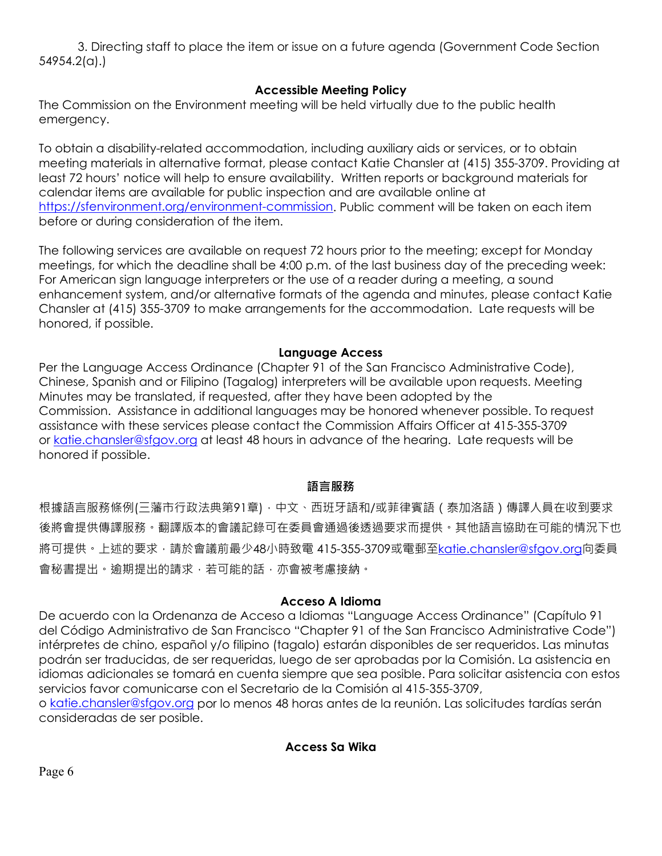3. Directing staff to place the item or issue on a future agenda (Government Code Section 54954.2(a).)

### **Accessible Meeting Policy**

The Commission on the Environment meeting will be held virtually due to the public health emergency.

To obtain a disability-related accommodation, including auxiliary aids or services, or to obtain meeting materials in alternative format, please contact Katie Chansler at (415) 355-3709. Providing at least 72 hours' notice will help to ensure availability. Written reports or background materials for calendar items are available for public inspection and are available online at [https://sfenvironment.org/environment-commission.](https://sfenvironment.org/environment-commission) Public comment will be taken on each item before or during consideration of the item.

The following services are available on request 72 hours prior to the meeting; except for Monday meetings, for which the deadline shall be 4:00 p.m. of the last business day of the preceding week: For American sign language interpreters or the use of a reader during a meeting, a sound enhancement system, and/or alternative formats of the agenda and minutes, please contact Katie Chansler at (415) 355-3709 to make arrangements for the accommodation. Late requests will be honored, if possible.

### **Language Access**

Per the Language Access Ordinance (Chapter 91 of the San Francisco Administrative Code), Chinese, Spanish and or Filipino (Tagalog) interpreters will be available upon requests. Meeting Minutes may be translated, if requested, after they have been adopted by the Commission. Assistance in additional languages may be honored whenever possible. To request assistance with these services please contact the Commission Affairs Officer at 415-355-3709 or [katie.chansler@sfgov.org](mailto:katie.chansler@sfgov.org) at least 48 hours in advance of the hearing. Late requests will be honored if possible.

### **語言服務**

根據語言服務條例(三藩市行政法典第91章),中文、西班牙語和/或菲律賓語 (泰加洛語 ) 傳譯人員在收到要求 後將會提供傳譯服務。翻譯版本的會議記錄可在委員會通過後透過要求而提供。其他語言協助在可能的情況下也 將可提供。上述的要求,請於會議前最少48小時致電 415-355-3709或電郵至[katie.chansler@sfgov.org](mailto:katie.chansler@sfgov.org)向委員 會秘書提出。逾期提出的請求,若可能的話,亦會被考慮接納。

### **Acceso A Idioma**

De acuerdo con la Ordenanza de Acceso a Idiomas "Language Access Ordinance" (Capítulo 91 del Código Administrativo de San Francisco "Chapter 91 of the San Francisco Administrative Code") intérpretes de chino, español y/o filipino (tagalo) estarán disponibles de ser requeridos. Las minutas podrán ser traducidas, de ser requeridas, luego de ser aprobadas por la Comisión. La asistencia en idiomas adicionales se tomará en cuenta siempre que sea posible. Para solicitar asistencia con estos servicios favor comunicarse con el Secretario de la Comisión al 415-355-3709,

o [katie.chansler@sfgov.org](mailto:katie.chansler@sfgov.org) por lo menos 48 horas antes de la reunión. Las solicitudes tardías serán consideradas de ser posible.

**Access Sa Wika**